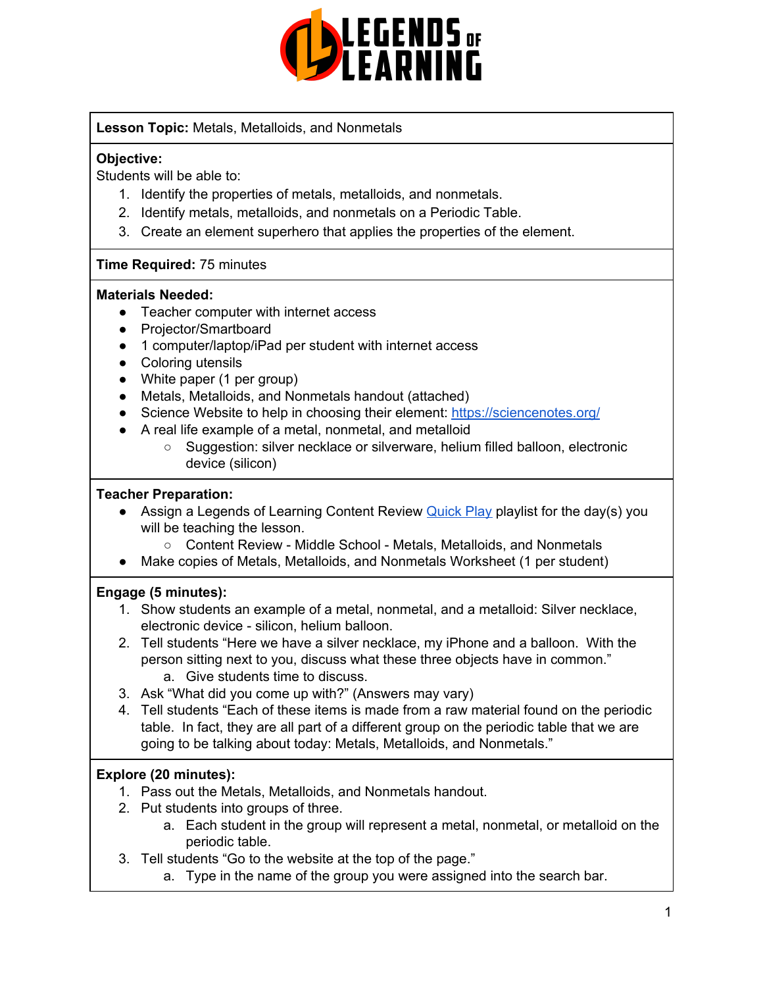

**Lesson Topic:** Metals, Metalloids, and Nonmetals

### **Objective:**

Students will be able to:

- 1. Identify the properties of metals, metalloids, and nonmetals.
- 2. Identify metals, metalloids, and nonmetals on a Periodic Table.
- 3. Create an element superhero that applies the properties of the element.

#### **Time Required:** 75 minutes

#### **Materials Needed:**

- Teacher computer with internet access
- Projector/Smartboard
- 1 computer/laptop/iPad per student with internet access
- Coloring utensils
- White paper (1 per group)
- Metals, Metalloids, and Nonmetals handout (attached)
- Science Website to help in choosing their element: <https://sciencenotes.org/>
- A real life example of a metal, nonmetal, and metalloid
	- Suggestion: silver necklace or silverware, helium filled balloon, electronic device (silicon)

#### **Teacher Preparation:**

- Assign a Legends of Learning Content Review **[Quick](https://intercom.help/legends-of-learning/en/articles/2701866-assigning-a-quick-play-playlist) Play playlist for the day(s)** you will be teaching the lesson.
	- Content Review Middle School Metals, Metalloids, and Nonmetals
- Make copies of Metals, Metalloids, and Nonmetals Worksheet (1 per student)

#### **Engage (5 minutes):**

- 1. Show students an example of a metal, nonmetal, and a metalloid: Silver necklace, electronic device - silicon, helium balloon.
- 2. Tell students "Here we have a silver necklace, my iPhone and a balloon. With the person sitting next to you, discuss what these three objects have in common." a. Give students time to discuss.
- 3. Ask "What did you come up with?" (Answers may vary)
- 4. Tell students "Each of these items is made from a raw material found on the periodic table. In fact, they are all part of a different group on the periodic table that we are going to be talking about today: Metals, Metalloids, and Nonmetals."

## **Explore (20 minutes):**

- 1. Pass out the Metals, Metalloids, and Nonmetals handout.
- 2. Put students into groups of three.
	- a. Each student in the group will represent a metal, nonmetal, or metalloid on the periodic table.
- 3. Tell students "Go to the website at the top of the page."
	- a. Type in the name of the group you were assigned into the search bar.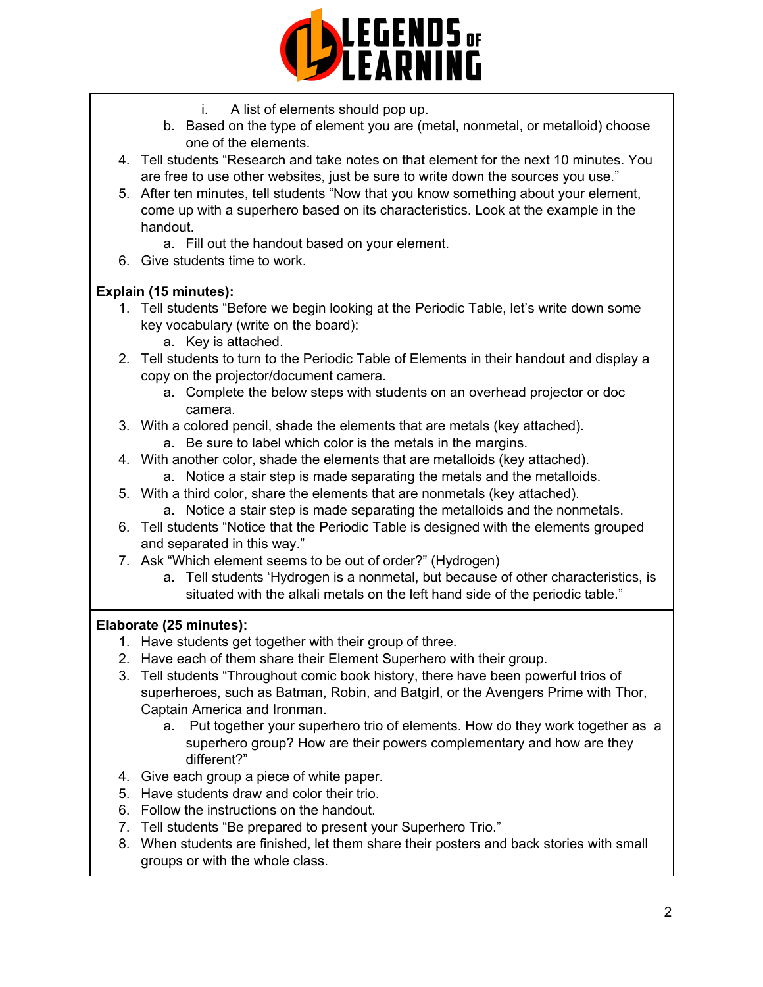

- i. A list of elements should pop up.
- b. Based on the type of element you are (metal, nonmetal, or metalloid) choose one of the elements.
- 4. Tell students "Research and take notes on that element for the next 10 minutes. You are free to use other websites, just be sure to write down the sources you use."
- 5. After ten minutes, tell students "Now that you know something about your element, come up with a superhero based on its characteristics. Look at the example in the handout.
	- a. Fill out the handout based on your element.
- 6. Give students time to work.

## **Explain (15 minutes):**

- 1. Tell students "Before we begin looking at the Periodic Table, let's write down some key vocabulary (write on the board):
	- a. Key is attached.
- 2. Tell students to turn to the Periodic Table of Elements in their handout and display a copy on the projector/document camera.
	- a. Complete the below steps with students on an overhead projector or doc camera.
- 3. With a colored pencil, shade the elements that are metals (key attached).
	- a. Be sure to label which color is the metals in the margins.
- 4. With another color, shade the elements that are metalloids (key attached).
	- a. Notice a stair step is made separating the metals and the metalloids.
- 5. With a third color, share the elements that are nonmetals (key attached). a. Notice a stair step is made separating the metalloids and the nonmetals.
- 6. Tell students "Notice that the Periodic Table is designed with the elements grouped and separated in this way."
- 7. Ask "Which element seems to be out of order?" (Hydrogen)
	- a. Tell students 'Hydrogen is a nonmetal, but because of other characteristics, is situated with the alkali metals on the left hand side of the periodic table."

## **Elaborate (25 minutes):**

- 1. Have students get together with their group of three.
- 2. Have each of them share their Element Superhero with their group.
- 3. Tell students "Throughout comic book history, there have been powerful trios of superheroes, such as Batman, Robin, and Batgirl, or the Avengers Prime with Thor, Captain America and Ironman.
	- a. Put together your superhero trio of elements. How do they work together as a superhero group? How are their powers complementary and how are they different?"
- 4. Give each group a piece of white paper.
- 5. Have students draw and color their trio.
- 6. Follow the instructions on the handout.
- 7. Tell students "Be prepared to present your Superhero Trio."
- 8. When students are finished, let them share their posters and back stories with small groups or with the whole class.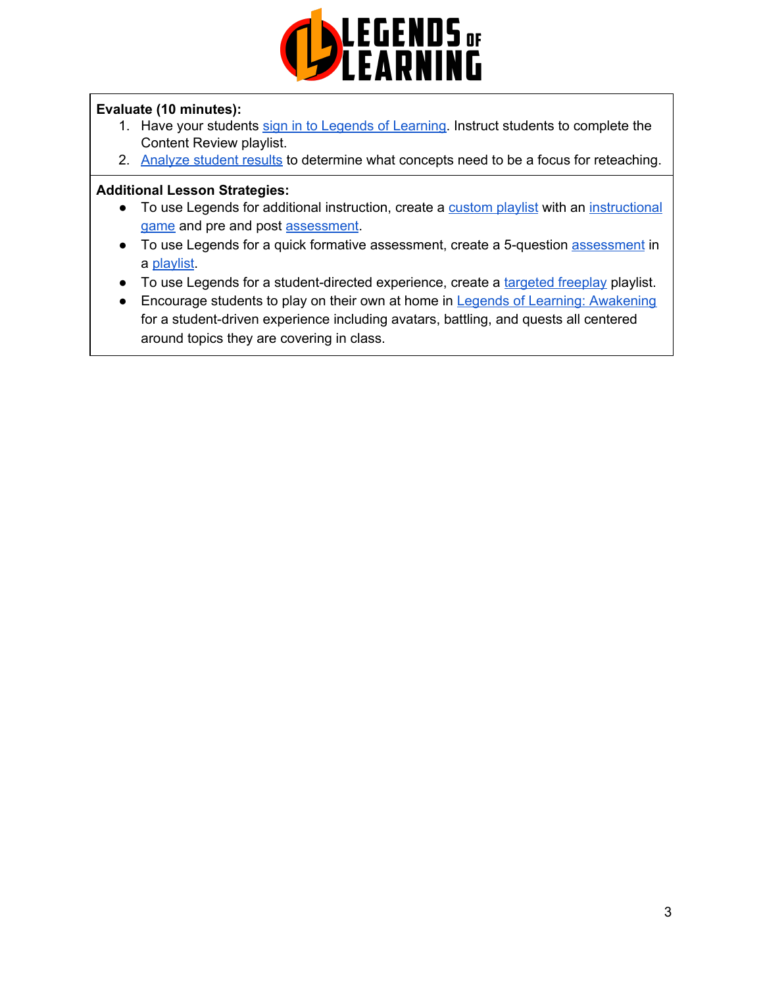

## **Evaluate (10 minutes):**

- 1. Have your students sign in to Legends of [Learning](https://intercom.help/legends-of-learning/en/articles/2154920-students-joining-a-playlist). Instruct students to complete the Content Review playlist.
- 2. [Analyze](https://intercom.help/legends-of-learning/en/articles/2154918-tracking-student-progress-and-performance) student results to determine what concepts need to be a focus for reteaching.

#### **Additional Lesson Strategies:**

- To use Legends for additional instruction, create a [custom](https://intercom.help/legends-of-learning/en/articles/2154910-creating-a-playlist) playlist with an [instructional](https://intercom.help/legends-of-learning/en/articles/3505828-types-of-games) [game](https://intercom.help/legends-of-learning/en/articles/3505828-types-of-games) and pre and post [assessment](https://intercom.help/legends-of-learning/en/articles/2154913-adding-assessments-to-a-playlist).
- To use Legends for a quick formative [assessment](https://intercom.help/legends-of-learning/en/articles/2154913-adding-assessments-to-a-playlist), create a 5-question assessment in a [playlist](https://intercom.help/legends-of-learning/en/articles/2154910-creating-a-playlist).
- To use Legends for a student-directed experience, create a [targeted](https://intercom.help/legends-of-learning/en/articles/3340814-targeted-freeplay) freeplay playlist.
- Encourage students to play on their own at home in Legends of Learning: [Awakening](https://intercom.help/legends-of-learning/en/articles/2425490-legends-of-learning-awakening) for a student-driven experience including avatars, battling, and quests all centered around topics they are covering in class.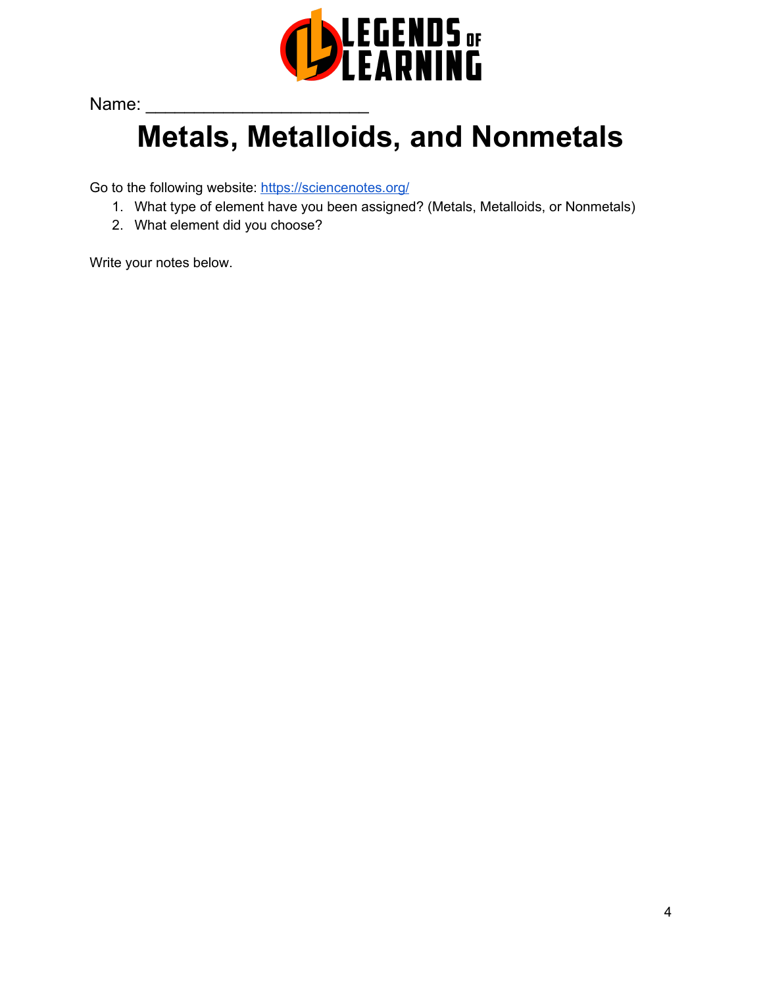

Name:

# **Metals, Metalloids, and Nonmetals**

Go to the following website: <https://sciencenotes.org/>

- 1. What type of element have you been assigned? (Metals, Metalloids, or Nonmetals)
- 2. What element did you choose?

Write your notes below.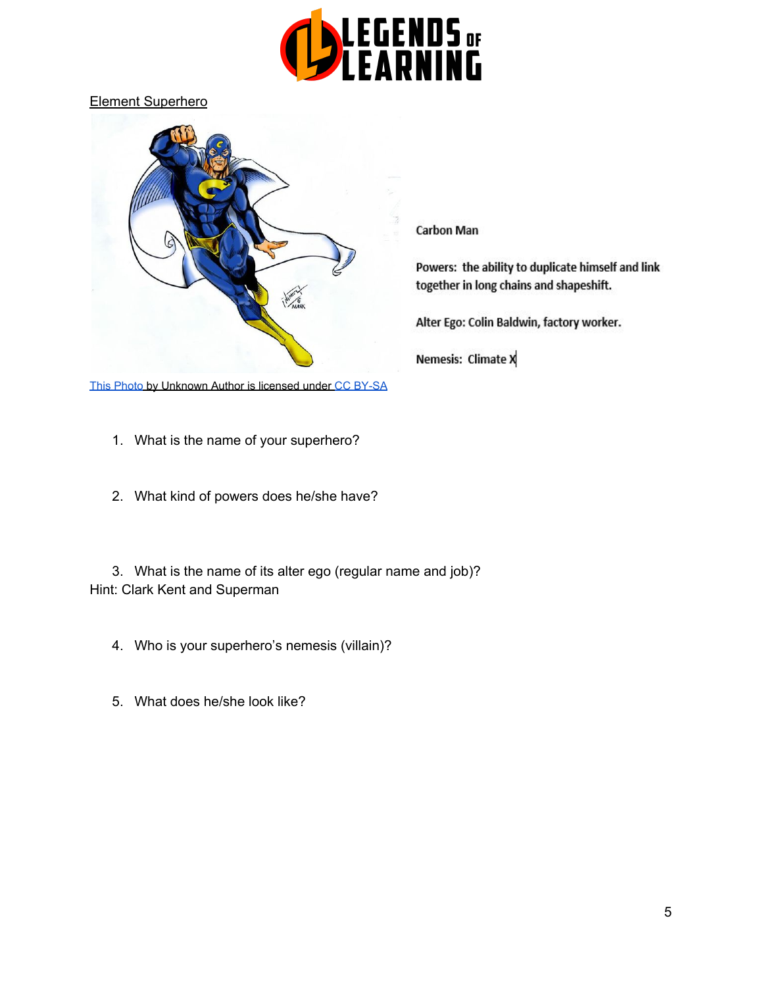

Element Superhero



[This Photo](https://en.wikipedia.org/wiki/Connecticut_ComiCONN) by Unknown Author is licensed unde[r](https://creativecommons.org/licenses/by-sa/3.0/) [CC BY-SA](https://creativecommons.org/licenses/by-sa/3.0/)

- 1. What is the name of your superhero?
- 2. What kind of powers does he/she have?

3. What is the name of its alter ego (regular name and job)? Hint: Clark Kent and Superman

- 4. Who is your superhero's nemesis (villain)?
- 5. What does he/she look like?

#### **Carbon Man**

Powers: the ability to duplicate himself and link together in long chains and shapeshift.

Alter Ego: Colin Baldwin, factory worker.

Nemesis: Climate X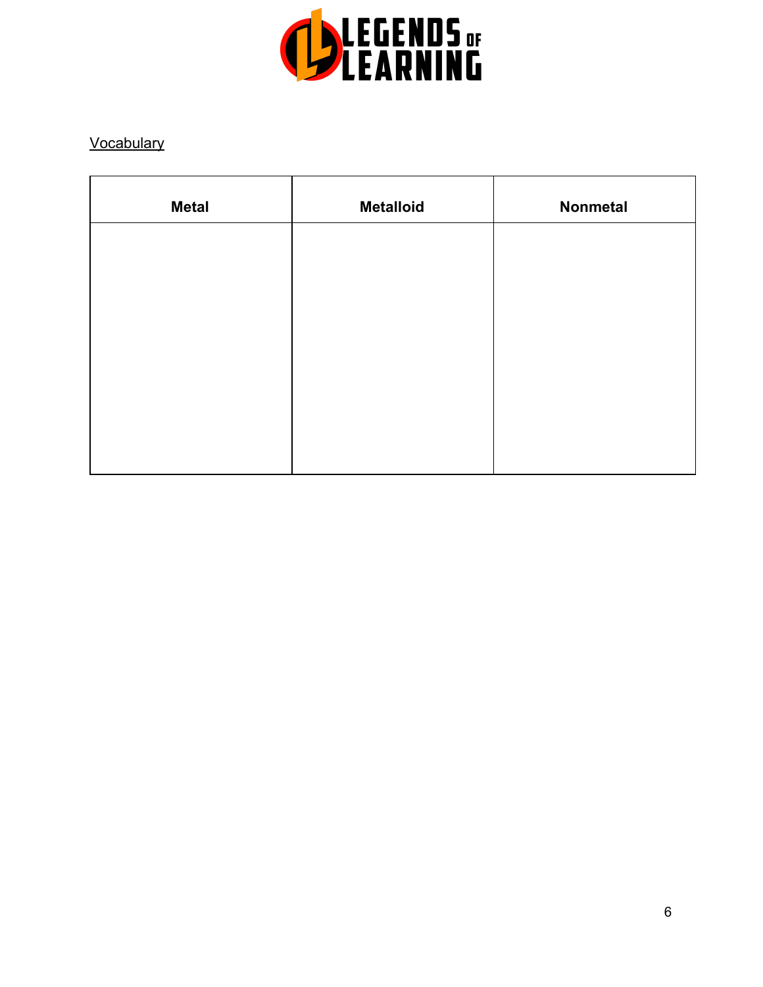

## **Vocabulary**

| <b>Metal</b> | <b>Metalloid</b> | Nonmetal |
|--------------|------------------|----------|
|              |                  |          |
|              |                  |          |
|              |                  |          |
|              |                  |          |
|              |                  |          |
|              |                  |          |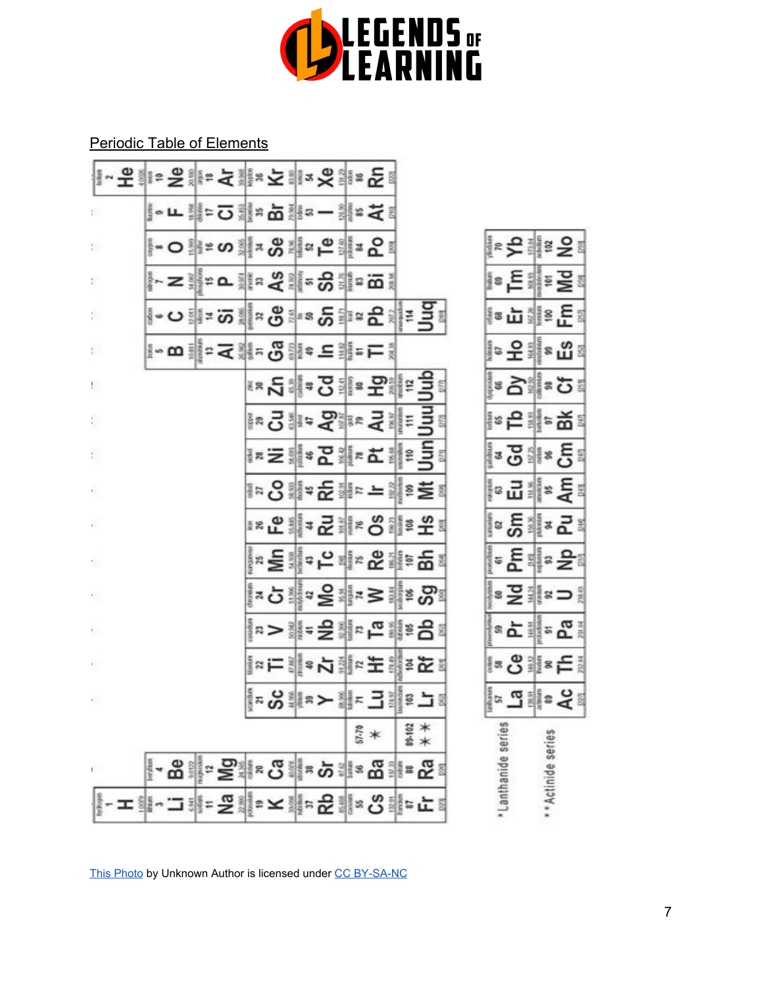

Periodic Table of Elements

| 除                     |  |  |                |  |       | ∥∘∟Щ≈⊙╣≈⋩╫∝─╣≈⋜ă                        |        |  |                   |                    |                 |
|-----------------------|--|--|----------------|--|-------|-----------------------------------------|--------|--|-------------------|--------------------|-----------------|
| b.                    |  |  |                |  |       | ∮∽ဝ ြ∄ႊဟ ္ံုူ အမ္ကား ျဖစ္သူ အမ္ကာ       |        |  |                   |                    | ∤∗ද£ ∰≊ දි≀     |
| Đ.                    |  |  |                |  |       | ╟╌⋝┋╟╍┇┇┅╳┋╢╍╬╣╍ <u>╙</u> ╝┇            |        |  |                   |                    | ∦≋ E ∰≊ ≧ !     |
| p.                    |  |  |                |  |       | ∦∽⇔∦≈∞∦∝⊛≸∝≈°∄≈⊊∦⊧∃≰                    |        |  |                   |                    | {⊗∴⊔∛¦≗£≀       |
| E.                    |  |  |                |  |       | ▌◦罒▒°⋷⋜▒⋷ၖ▒░∊⊆▒⋷⋿░                      |        |  |                   |                    | ∥∘운╣∗따≀         |
| Ŗ,                    |  |  |                |  |       | <b>**언</b> : 4 요리 = 공화 = 국              |        |  |                   |                    |                 |
| Ę,                    |  |  |                |  |       | ▌¤⋻▌▏゠ゔ゚゚゚゚゚゚゚゚゚゚゚゚゚゠ヺ゙゙゙゚゚゚゚゚゠゠゙゙゚゚゚゚゠ |        |  |                   |                    | ∦∘은 ⊯¦≈ ଇଁ ା    |
| ŧ,                    |  |  |                |  |       | ▌¤ᆯ▓៵ឨ▓⋷⋩▓┋┋╣                           |        |  |                   |                    | ုံး ၁ျနှင့်၊    |
| Đ,                    |  |  |                |  |       | ∦≈ៜ∰≈ਣਿ∰⊧ – ∰≋≅≋                        |        |  |                   |                    | ∦ਃ ਸ਼ੂੰ ਵਿ      |
| Ŷ.                    |  |  |                |  |       | ≈C∥≠2⋕∗S⊪º£∛                            |        |  |                   |                    | ∝ ਨੂੰ ‡ ∝ ਛੋਂ ⊧ |
| ×.                    |  |  |                |  |       | ᆙ¤ ⋶ᆖᇔª 片 패≈ ᅂᇸᇐ巴ᇘ                      |        |  |                   |                    | ▌॰ 운ᅨ॰ 윤!       |
| s,                    |  |  |                |  |       | ∥≈ò∰∝올해≈≥⊯≋⊗≋                           |        |  |                   |                    | ∦≈⊋∰≈⊃∤         |
| P.                    |  |  |                |  |       | ∥¤>▓≖을▓⋷ <u>ᇛ</u> ▓≋ᇢ⋷                  |        |  |                   |                    | ା∝≿ା⊪-ଝା        |
| 93                    |  |  |                |  |       | ▌¤⋿╣⋠⋫⋬∊⋤⋕⋾⋤⋾                           |        |  |                   |                    | ∥∞ଓ ∰≋⊟ା        |
| 69                    |  |  |                |  |       | ▌▄ <b>ៜ⋕⋷⋺⋕∊</b> ∃⋕⋷⋺⋾                  |        |  |                   |                    | ¦☞ 교 ▒ ㅎ 유      |
|                       |  |  |                |  | 57.70 |                                         | 89-102 |  |                   |                    |                 |
| t.                    |  |  | <b>BIPSIES</b> |  |       |                                         | 非"S    |  | Lanthanide series | ** Actinide series |                 |
| ╶ェᆥ┄그ᆥ゠穿╣╸ᆇᆥ⋼운ᆥ⋄양ᆥ⋼⊏⋾ |  |  |                |  |       |                                         |        |  |                   |                    |                 |

[This Photo](https://chem.libretexts.org/LibreTexts/Furman_University/CHM101%3A_Chemistry_and_Global_Awareness_(Gordon)/03%3A_Atoms_and_the_Periodic_Table/3.4%3A_Atomic_Mass_and_Atomic_Number) by Unknown Author is licensed unde[r](https://creativecommons.org/licenses/by-nc-sa/3.0/) [CC BY-SA-NC](https://creativecommons.org/licenses/by-nc-sa/3.0/)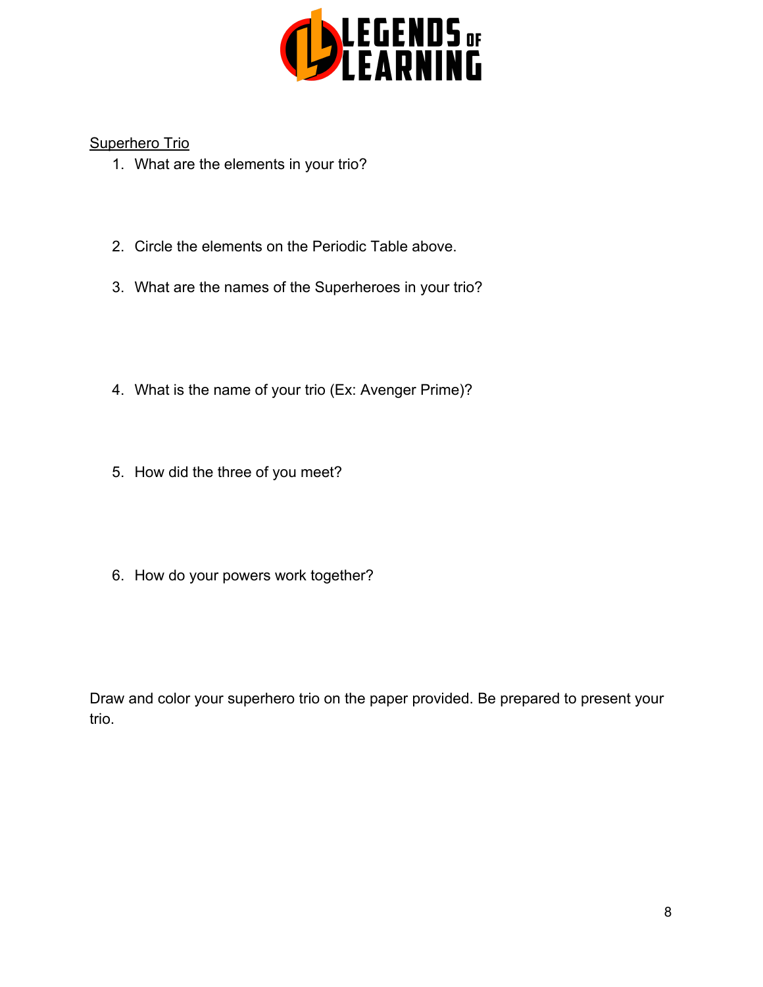

Superhero Trio

- 1. What are the elements in your trio?
- 2. Circle the elements on the Periodic Table above.
- 3. What are the names of the Superheroes in your trio?
- 4. What is the name of your trio (Ex: Avenger Prime)?
- 5. How did the three of you meet?
- 6. How do your powers work together?

Draw and color your superhero trio on the paper provided. Be prepared to present your trio.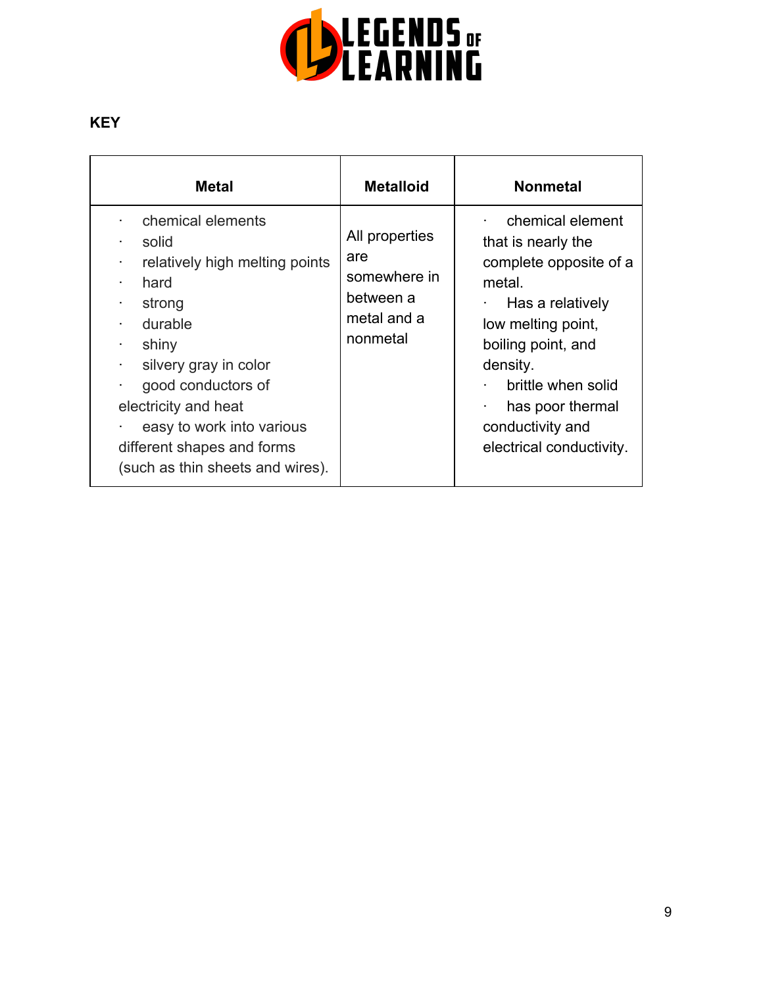

## **KEY**

| <b>Metal</b>                                                                                                                                                                                                                                                                            | <b>Metalloid</b>                                                              | <b>Nonmetal</b>                                                                                                                                                                                                                                  |
|-----------------------------------------------------------------------------------------------------------------------------------------------------------------------------------------------------------------------------------------------------------------------------------------|-------------------------------------------------------------------------------|--------------------------------------------------------------------------------------------------------------------------------------------------------------------------------------------------------------------------------------------------|
| chemical elements<br>solid<br>relatively high melting points<br>hard<br>٠<br>strong<br>durable<br>shiny<br>٠<br>silvery gray in color<br>good conductors of<br>٠<br>electricity and heat<br>easy to work into various<br>different shapes and forms<br>(such as thin sheets and wires). | All properties<br>are<br>somewhere in<br>between a<br>metal and a<br>nonmetal | chemical element<br>that is nearly the<br>complete opposite of a<br>metal.<br>Has a relatively<br>low melting point,<br>boiling point, and<br>density.<br>brittle when solid<br>has poor thermal<br>conductivity and<br>electrical conductivity. |